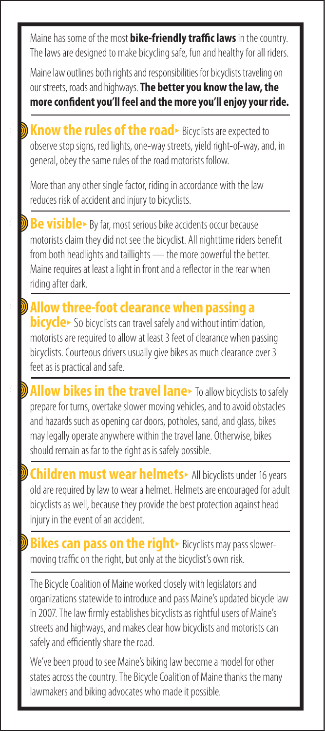Maine has some of the most **bike-friendly traffic laws** in the country. The laws are designed to make bicycling safe, fun and healthy for all riders.

Maine law outlines both rights and responsibilities for bicyclists traveling on our streets, roads and highways. **The better you know the law, the more confident you'll feel and the more you'll enjoy your ride.**

**Know the rules of the road**• Bicyclists are expected to observe stop signs, red lights, one-way streets, yield right-of-way, and, in general, obey the same rules of the road motorists follow.

More than any other single factor, riding in accordance with the law reduces risk of accident and injury to bicyclists.

**Be visible**• By far, most serious bike accidents occur because motorists claim they did not see the bicyclist. All nighttime riders benefit from both headlights and taillights — the more powerful the better. Maine requires at least a light in front and a reflector in the rear when riding after dark.

**Allow three-foot clearance when passing a bicycle**• So bicyclists can travel safely and without intimidation, motorists are required to allow at least 3 feet of clearance when passing bicyclists. Courteous drivers usually give bikes as much clearance over 3 feet as is practical and safe.

**Low bikes in the travel lane**• To allow bicyclists to safely prepare for turns, overtake slower moving vehicles, and to avoid obstacles and hazards such as opening car doors, potholes, sand, and glass, bikes may legally operate anywhere within the travel lane. Otherwise, bikes should remain as far to the right as is safely possible.

**ildren must wear helmets**• All bicyclists under 16 years old are required by law to wear a helmet. Helmets are encouraged for adult bicyclists as well, because they provide the best protection against head injury in the event of an accident.

**ikes can pass on the right**► Bicyclists may pass slowermoving traffic on the right, but only at the bicyclist's own risk.

The Bicycle Coalition of Maine worked closely with legislators and organizations statewide to introduce and pass Maine's updated bicycle law in 2007. The law firmly establishes bicyclists as rightful users of Maine's streets and highways, and makes clear how bicyclists and motorists can safely and efficiently share the road.

We've been proud to see Maine's biking law become a model for other states across the country. The Bicycle Coalition of Maine thanks the many lawmakers and biking advocates who made it possible.